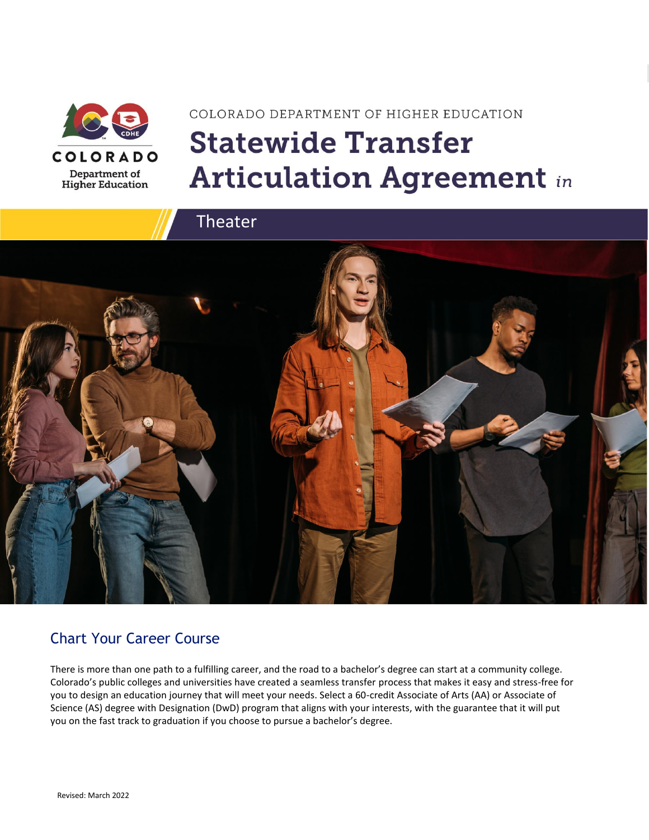

# COLORADO DEPARTMENT OF HIGHER EDUCATION **Statewide Transfer Articulation Agreement in**



### Chart Your Career Course

There is more than one path to a fulfilling career, and the road to a bachelor's degree can start at a community college. Colorado's public colleges and universities have created a seamless transfer process that makes it easy and stress-free for you to design an education journey that will meet your needs. Select a 60-credit Associate of Arts (AA) or Associate of Science (AS) degree with Designation (DwD) program that aligns with your interests, with the guarantee that it will put you on the fast track to graduation if you choose to pursue a bachelor's degree.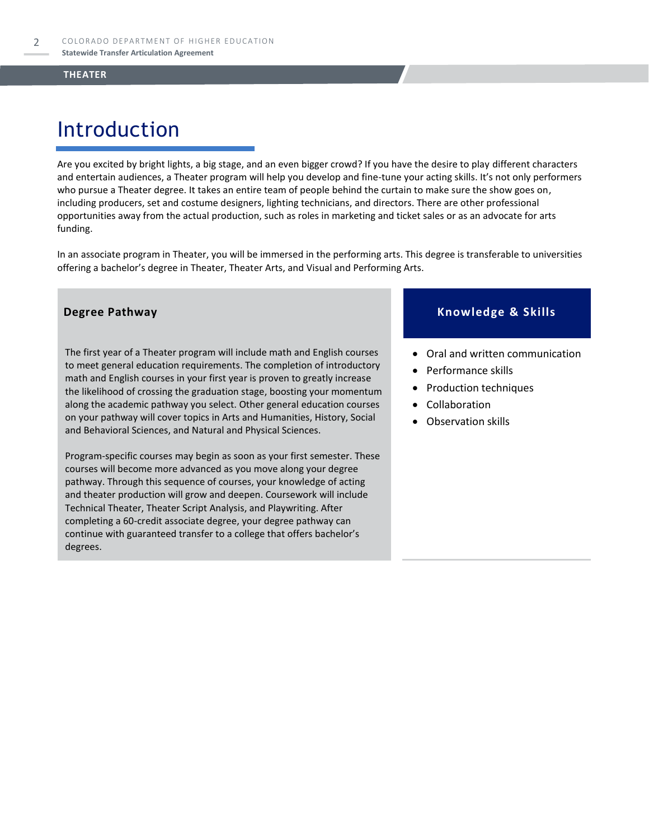## Introduction

Are you excited by bright lights, a big stage, and an even bigger crowd? If you have the desire to play different characters and entertain audiences, a Theater program will help you develop and fine-tune your acting skills. It's not only performers who pursue a Theater degree. It takes an entire team of people behind the curtain to make sure the show goes on, including producers, set and costume designers, lighting technicians, and directors. There are other professional opportunities away from the actual production, such as roles in marketing and ticket sales or as an advocate for arts funding.

In an associate program in Theater, you will be immersed in the performing arts. This degree is transferable to universities offering a bachelor's degree in Theater, Theater Arts, and Visual and Performing Arts.

The first year of a Theater program will include math and English courses to meet general education requirements. The completion of introductory math and English courses in your first year is proven to greatly increase the likelihood of crossing the graduation stage, boosting your momentum along the academic pathway you select. Other general education courses on your pathway will cover topics in Arts and Humanities, History, Social and Behavioral Sciences, and Natural and Physical Sciences.

Program-specific courses may begin as soon as your first semester. These courses will become more advanced as you move along your degree pathway. Through this sequence of courses, your knowledge of acting and theater production will grow and deepen. Coursework will include Technical Theater, Theater Script Analysis, and Playwriting. After completing a 60-credit associate degree, your degree pathway can continue with guaranteed transfer to a college that offers bachelor's degrees.

#### **Degree Pathway Knowledge & Skills**

- Oral and written communication
- Performance skills
- Production techniques
- **Collaboration**
- Observation skills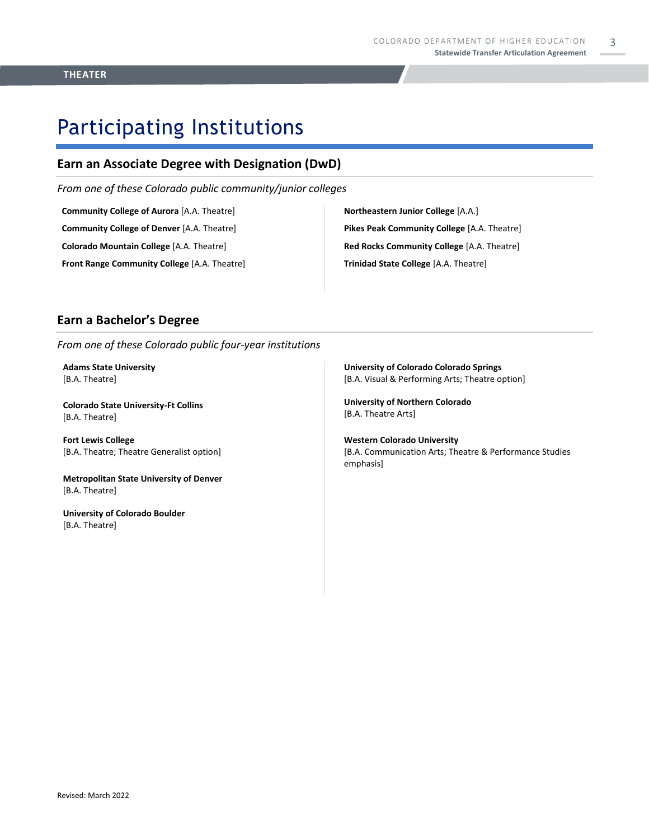### Participating Institutions

### **Earn an Associate Degree with Designation (DwD)**

*From one of these Colorado public community/junior colleges*

**Community College of Aurora** [A.A. Theatre] **Community College of Denver** [A.A. Theatre]

**Colorado Mountain College** [A.A. Theatre]

**Front Range Community College** [A.A. Theatre]

**Northeastern Junior College** [A.A.] **Pikes Peak Community College** [A.A. Theatre] **Red Rocks Community College** [A.A. Theatre] **Trinidad State College** [A.A. Theatre]

#### **Earn a Bachelor's Degree**

*From one of these Colorado public four-year institutions*

**Adams State University**  [B.A. Theatre]

**Colorado State University-Ft Collins**  [B.A. Theatre]

**Fort Lewis College**  [B.A. Theatre; Theatre Generalist option]

**Metropolitan State University of Denver**  [B.A. Theatre]

**University of Colorado Boulder**  [B.A. Theatre]

**University of Colorado Colorado Springs** [B.A. Visual & Performing Arts; Theatre option]

**University of Northern Colorado** [B.A. Theatre Arts]

**Western Colorado University** [B.A. Communication Arts; Theatre & Performance Studies emphasis]

3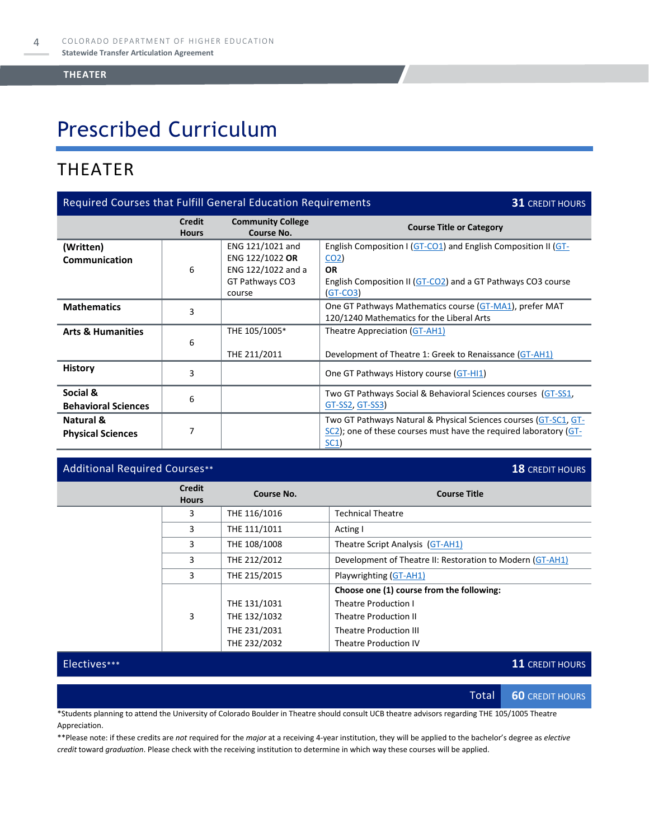# Prescribed Curriculum

### THEATER

| <b>Required Courses that Fulfill General Education Requirements</b><br><b>31 CREDIT HOURS</b> |                               |                                                                                        |                                                                                                                                                                            |  |
|-----------------------------------------------------------------------------------------------|-------------------------------|----------------------------------------------------------------------------------------|----------------------------------------------------------------------------------------------------------------------------------------------------------------------------|--|
|                                                                                               | <b>Credit</b><br><b>Hours</b> | <b>Community College</b><br>Course No.                                                 | <b>Course Title or Category</b>                                                                                                                                            |  |
| (Written)<br>Communication                                                                    | 6                             | ENG 121/1021 and<br>ENG 122/1022 OR<br>ENG 122/1022 and a<br>GT Pathways CO3<br>course | English Composition I (GT-CO1) and English Composition II (GT-<br>CO <sub>2</sub><br><b>OR</b><br>English Composition II (GT-CO2) and a GT Pathways CO3 course<br>(GT-CO3) |  |
| <b>Mathematics</b>                                                                            | 3                             |                                                                                        | One GT Pathways Mathematics course (GT-MA1), prefer MAT<br>120/1240 Mathematics for the Liberal Arts                                                                       |  |
| <b>Arts &amp; Humanities</b>                                                                  | 6                             | THE 105/1005*<br>THE 211/2011                                                          | Theatre Appreciation (GT-AH1)<br>Development of Theatre 1: Greek to Renaissance (GT-AH1)                                                                                   |  |
| <b>History</b>                                                                                | 3                             |                                                                                        | One GT Pathways History course (GT-HI1)                                                                                                                                    |  |
| Social &<br><b>Behavioral Sciences</b>                                                        | 6                             |                                                                                        | Two GT Pathways Social & Behavioral Sciences courses (GT-SS1,<br>GT-SS2, GT-SS3)                                                                                           |  |
| Natural &<br><b>Physical Sciences</b>                                                         | 7                             |                                                                                        | Two GT Pathways Natural & Physical Sciences courses (GT-SC1, GT-<br>SC2); one of these courses must have the required laboratory (GT-<br><u>SC1</u> )                      |  |

#### Additional Required Courses\*\* **18** CREDIT HOURS

| <b>Credit</b><br><b>Hours</b> | Course No.   | <b>Course Title</b>                                       |
|-------------------------------|--------------|-----------------------------------------------------------|
| 3                             | THE 116/1016 | <b>Technical Theatre</b>                                  |
| 3                             | THE 111/1011 | Acting I                                                  |
| 3                             | THE 108/1008 | Theatre Script Analysis (GT-AH1)                          |
| 3                             | THE 212/2012 | Development of Theatre II: Restoration to Modern (GT-AH1) |
| 3                             | THE 215/2015 | Playwrighting (GT-AH1)                                    |
|                               |              | Choose one (1) course from the following:                 |
|                               | THE 131/1031 | <b>Theatre Production I</b>                               |
| 3                             | THE 132/1032 | Theatre Production II                                     |
|                               | THE 231/2031 | <b>Theatre Production III</b>                             |
|                               | THE 232/2032 | Theatre Production IV                                     |

Electives\*\*\* **11** CREDIT HOURS

Total **60** CREDIT HOURS

\*Students planning to attend the University of Colorado Boulder in Theatre should consult UCB theatre advisors regarding THE 105/1005 Theatre Appreciation.

\*\*Please note: if these credits are *not* required for the *major* at a receiving 4-year institution, they will be applied to the bachelor's degree as *elective credit* toward *graduation*. Please check with the receiving institution to determine in which way these courses will be applied.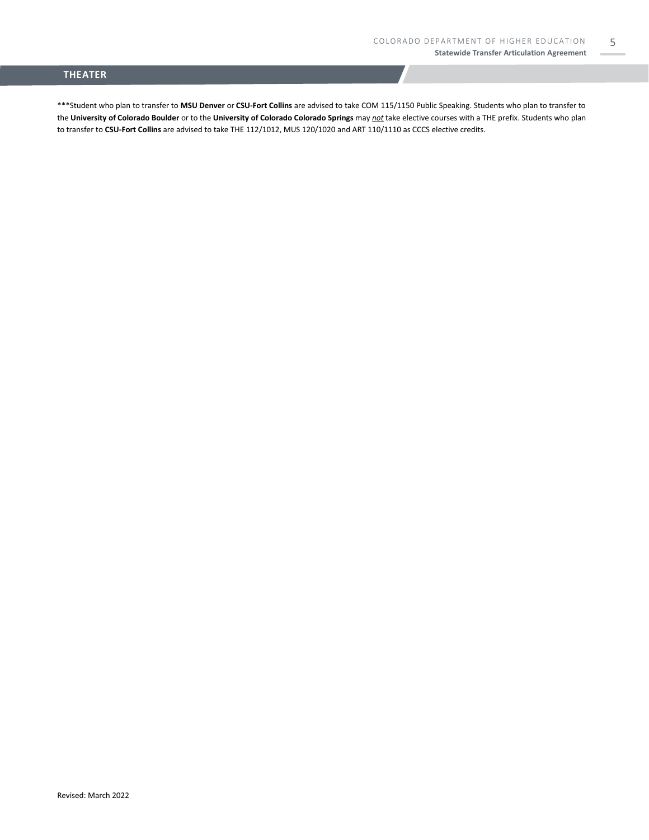5

#### **THEATER**

\*\*\*Student who plan to transfer to **MSU Denver** or **CSU-Fort Collins** are advised to take COM 115/1150 Public Speaking. Students who plan to transfer to the **University of Colorado Boulder** or to the **University of Colorado Colorado Springs** may *not* take elective courses with a THE prefix. Students who plan to transfer to **CSU-Fort Collins** are advised to take THE 112/1012, MUS 120/1020 and ART 110/1110 as CCCS elective credits.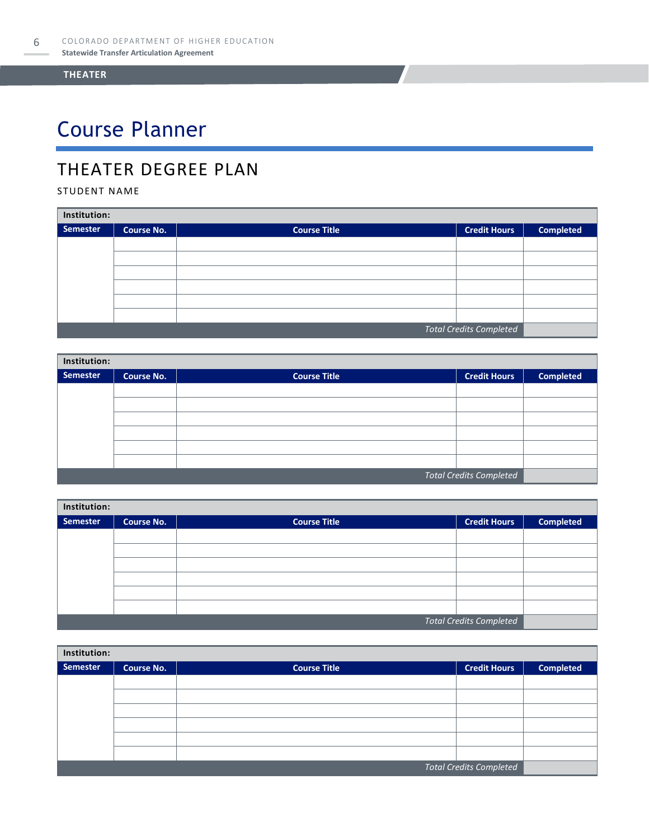# Course Planner

### THEATER DEGREE PLAN

### STUDENT NAME

| Institution:                   |                   |                     |                     |                  |  |
|--------------------------------|-------------------|---------------------|---------------------|------------------|--|
| Semester                       | <b>Course No.</b> | <b>Course Title</b> | <b>Credit Hours</b> | <b>Completed</b> |  |
|                                |                   |                     |                     |                  |  |
|                                |                   |                     |                     |                  |  |
|                                |                   |                     |                     |                  |  |
|                                |                   |                     |                     |                  |  |
|                                |                   |                     |                     |                  |  |
|                                |                   |                     |                     |                  |  |
| <b>Total Credits Completed</b> |                   |                     |                     |                  |  |

| Institution:                   |                   |                     |                     |                  |  |
|--------------------------------|-------------------|---------------------|---------------------|------------------|--|
| Semester                       | <b>Course No.</b> | <b>Course Title</b> | <b>Credit Hours</b> | <b>Completed</b> |  |
|                                |                   |                     |                     |                  |  |
|                                |                   |                     |                     |                  |  |
|                                |                   |                     |                     |                  |  |
|                                |                   |                     |                     |                  |  |
|                                |                   |                     |                     |                  |  |
|                                |                   |                     |                     |                  |  |
| <b>Total Credits Completed</b> |                   |                     |                     |                  |  |

| Institution:                   |            |                     |                     |                  |  |
|--------------------------------|------------|---------------------|---------------------|------------------|--|
| Semester                       | Course No. | <b>Course Title</b> | <b>Credit Hours</b> | <b>Completed</b> |  |
|                                |            |                     |                     |                  |  |
|                                |            |                     |                     |                  |  |
|                                |            |                     |                     |                  |  |
|                                |            |                     |                     |                  |  |
|                                |            |                     |                     |                  |  |
|                                |            |                     |                     |                  |  |
| <b>Total Credits Completed</b> |            |                     |                     |                  |  |

| Institution:                   |                   |                     |                     |                  |  |
|--------------------------------|-------------------|---------------------|---------------------|------------------|--|
| <b>Semester</b>                | <b>Course No.</b> | <b>Course Title</b> | <b>Credit Hours</b> | <b>Completed</b> |  |
|                                |                   |                     |                     |                  |  |
|                                |                   |                     |                     |                  |  |
|                                |                   |                     |                     |                  |  |
|                                |                   |                     |                     |                  |  |
|                                |                   |                     |                     |                  |  |
|                                |                   |                     |                     |                  |  |
| <b>Total Credits Completed</b> |                   |                     |                     |                  |  |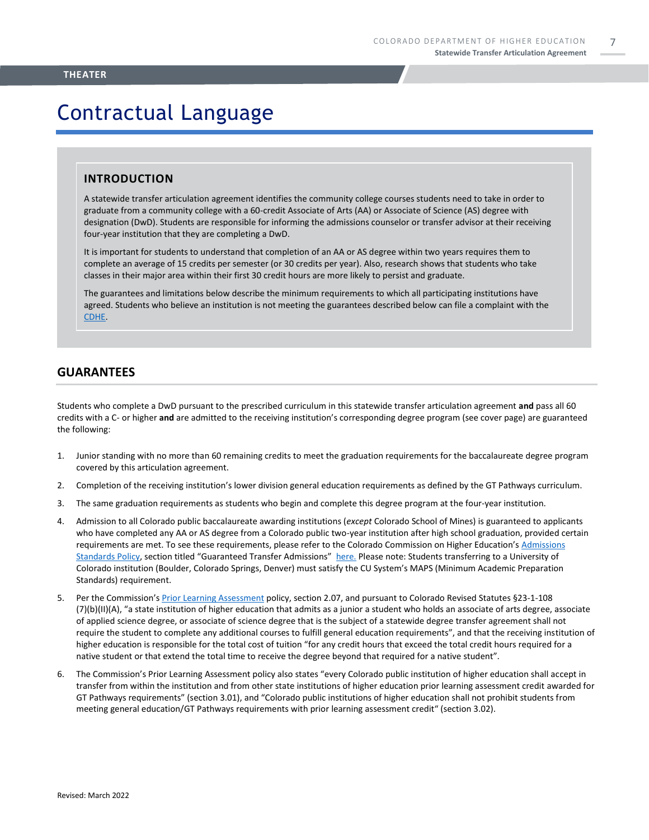## Contractual Language

#### **INTRODUCTION**

A statewide transfer articulation agreement identifies the community college courses students need to take in order to graduate from a community college with a 60-credit Associate of Arts (AA) or Associate of Science (AS) degree with designation (DwD). Students are responsible for informing the admissions counselor or transfer advisor at their receiving four-year institution that they are completing a DwD.

It is important for students to understand that completion of an AA or AS degree within two years requires them to complete an average of 15 credits per semester (or 30 credits per year). Also, research shows that students who take classes in their major area within their first 30 credit hours are more likely to persist and graduate.

The guarantees and limitations below describe the minimum requirements to which all participating institutions have agreed. Students who believe an institution is not meeting the guarantees described below can file a complaint with the [CDHE.](https://highered.colorado.gov/filing-student-complaint)

#### **GUARANTEES**

Students who complete a DwD pursuant to the prescribed curriculum in this statewide transfer articulation agreement **and** pass all 60 credits with a C- or higher **and** are admitted to the receiving institution's corresponding degree program (see cover page) are guaranteed the following:

- 1. Junior standing with no more than 60 remaining credits to meet the graduation requirements for the baccalaureate degree program covered by this articulation agreement.
- 2. Completion of the receiving institution's lower division general education requirements as defined by the GT Pathways curriculum.
- 3. The same graduation requirements as students who begin and complete this degree program at the four-year institution.
- 4. Admission to all Colorado public baccalaureate awarding institutions (*except* Colorado School of Mines) is guaranteed to applicants who have completed any AA or AS degree from a Colorado public two-year institution after high school graduation, provided certain requirements are met. To see these requirements, please refer to the Colorado Commission on Higher Education's [Admissions](https://highered.colorado.gov/sites/highered/files/2020-03/i-partf_0.pdf)  [Standards Policy](https://highered.colorado.gov/sites/highered/files/2020-03/i-partf_0.pdf), section titled "Guaranteed Transfer Admissions" [here.](https://highered.colorado.gov/educators/policy-funding/cche-policies-procedures) Please note: Students transferring to a University of Colorado institution (Boulder, Colorado Springs, Denver) must satisfy the CU System's MAPS (Minimum Academic Preparation Standards) requirement.
- 5. Per the Commission's [Prior Learning Assessment](https://highered.colorado.gov/sites/highered/files/2020-03/i-partx.pdf) policy, section 2.07, and pursuant to Colorado Revised Statutes §23-1-108 (7)(b)(II)(A), "a state institution of higher education that admits as a junior a student who holds an associate of arts degree, associate of applied science degree, or associate of science degree that is the subject of a statewide degree transfer agreement shall not require the student to complete any additional courses to fulfill general education requirements", and that the receiving institution of higher education is responsible for the total cost of tuition "for any credit hours that exceed the total credit hours required for a native student or that extend the total time to receive the degree beyond that required for a native student".
- 6. The Commission's Prior Learning Assessment policy also states "every Colorado public institution of higher education shall accept in transfer from within the institution and from other state institutions of higher education prior learning assessment credit awarded for GT Pathways requirements" (section 3.01), and "Colorado public institutions of higher education shall not prohibit students from meeting general education/GT Pathways requirements with prior learning assessment credit" (section 3.02).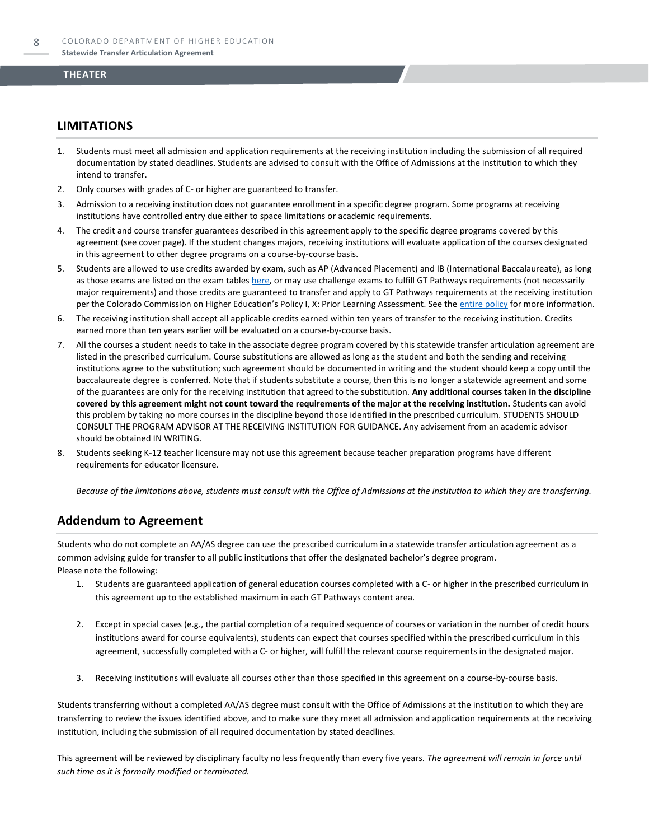#### **LIMITATIONS**

- 1. Students must meet all admission and application requirements at the receiving institution including the submission of all required documentation by stated deadlines. Students are advised to consult with the Office of Admissions at the institution to which they intend to transfer.
- 2. Only courses with grades of C- or higher are guaranteed to transfer.
- 3. Admission to a receiving institution does not guarantee enrollment in a specific degree program. Some programs at receiving institutions have controlled entry due either to space limitations or academic requirements.
- 4. The credit and course transfer guarantees described in this agreement apply to the specific degree programs covered by this agreement (see cover page). If the student changes majors, receiving institutions will evaluate application of the courses designated in this agreement to other degree programs on a course-by-course basis.
- 5. Students are allowed to use credits awarded by exam, such as AP (Advanced Placement) and IB (International Baccalaureate), as long as those exams are listed on the exam table[s here,](https://highered.colorado.gov/get-credit-for-what-you-already-know) or may use challenge exams to fulfill GT Pathways requirements (not necessarily major requirements) and those credits are guaranteed to transfer and apply to GT Pathways requirements at the receiving institution per the Colorado Commission on Higher Education's Policy I, X: Prior Learning Assessment. See the [entire policy](https://highered.colorado.gov/sites/highered/files/2020-03/i-partx.pdf) for more information.
- 6. The receiving institution shall accept all applicable credits earned within ten years of transfer to the receiving institution. Credits earned more than ten years earlier will be evaluated on a course-by-course basis.
- 7. All the courses a student needs to take in the associate degree program covered by this statewide transfer articulation agreement are listed in the prescribed curriculum. Course substitutions are allowed as long as the student and both the sending and receiving institutions agree to the substitution; such agreement should be documented in writing and the student should keep a copy until the baccalaureate degree is conferred. Note that if students substitute a course, then this is no longer a statewide agreement and some of the guarantees are only for the receiving institution that agreed to the substitution. **Any additional courses taken in the discipline covered by this agreement might not count toward the requirements of the major at the receiving institution.** Students can avoid this problem by taking no more courses in the discipline beyond those identified in the prescribed curriculum. STUDENTS SHOULD CONSULT THE PROGRAM ADVISOR AT THE RECEIVING INSTITUTION FOR GUIDANCE. Any advisement from an academic advisor should be obtained IN WRITING.
- Students seeking K-12 teacher licensure may not use this agreement because teacher preparation programs have different requirements for educator licensure.

*Because of the limitations above, students must consult with the Office of Admissions at the institution to which they are transferring.*

#### **Addendum to Agreement**

Students who do not complete an AA/AS degree can use the prescribed curriculum in a statewide transfer articulation agreement as a common advising guide for transfer to all public institutions that offer the designated bachelor's degree program. Please note the following:

- 1. Students are guaranteed application of general education courses completed with a C- or higher in the prescribed curriculum in this agreement up to the established maximum in each GT Pathways content area.
- 2. Except in special cases (e.g., the partial completion of a required sequence of courses or variation in the number of credit hours institutions award for course equivalents), students can expect that courses specified within the prescribed curriculum in this agreement, successfully completed with a C- or higher, will fulfill the relevant course requirements in the designated major.
- 3. Receiving institutions will evaluate all courses other than those specified in this agreement on a course-by-course basis.

Students transferring without a completed AA/AS degree must consult with the Office of Admissions at the institution to which they are transferring to review the issues identified above, and to make sure they meet all admission and application requirements at the receiving institution, including the submission of all required documentation by stated deadlines.

This agreement will be reviewed by disciplinary faculty no less frequently than every five years. *The agreement will remain in force until such time as it is formally modified or terminated.*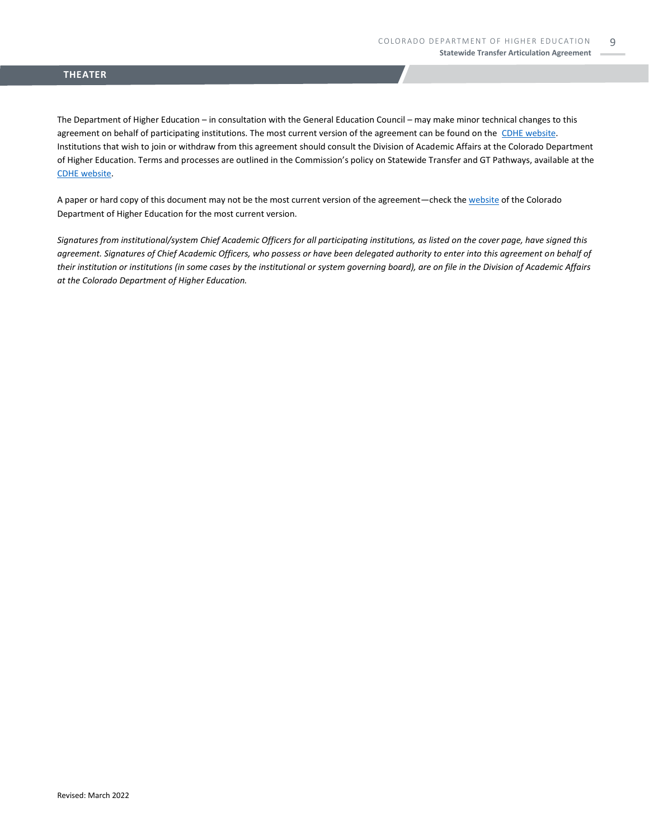The Department of Higher Education – in consultation with the General Education Council – may make minor technical changes to this agreement on behalf of participating institutions. The most current version of the agreement can be found on the [CDHE website.](https://highered.colorado.gov/transfer-degrees) Institutions that wish to join or withdraw from this agreement should consult the Division of Academic Affairs at the Colorado Department of Higher Education. Terms and processes are outlined in the Commission's policy on Statewide Transfer and GT Pathways, available at the [CDHE website.](https://highered.colorado.gov/educators/policy-funding/general-education-ge-council/gtpathways/transfer-agreements)

A paper or hard copy of this document may not be the most current version of the agreement—check th[e website](https://highered.colorado.gov/transfer-degrees) of the Colorado Department of Higher Education for the most current version.

*Signatures from institutional/system Chief Academic Officers for all participating institutions, as listed on the cover page, have signed this agreement. Signatures of Chief Academic Officers, who possess or have been delegated authority to enter into this agreement on behalf of their institution or institutions (in some cases by the institutional or system governing board), are on file in the Division of Academic Affairs at the Colorado Department of Higher Education.*